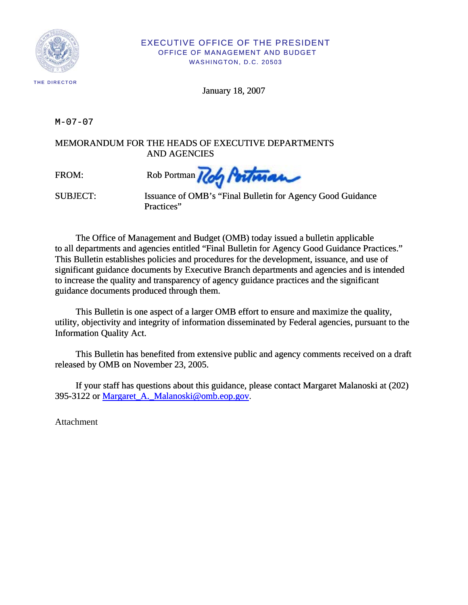

#### EXECUTIVE OFFICE OF THE PRESIDENT OFFICE OF MANAGEMENT AND BUDGET WASHINGTON, D.C. 20503

January 18, 2007

M-07-07

MEMORANDUM FOR THE HEADS OF EXECUTIVE DEPARTMENTS AND AGENCIES

FROM: Rob Portman / Con Portman

SUBJECT: Issuance of OMB's "Final Bulletin for Agency Good Guidance Practices"

The Office of Management and Budget (OMB) today issued a bulletin applicable to all departments and agencies entitled "Final Bulletin for Agency Good Guidance Practices." This Bulletin establishes policies and procedures for the development, issuance, and use of significant guidance documents by Executive Branch departments and agencies and is intended to increase the quality and transparency of agency guidance practices and the significant guidance documents produced through them.

This Bulletin is one aspect of a larger OMB effort to ensure and maximize the quality, utility, objectivity and integrity of information disseminated by Federal agencies, pursuant to the Information Quality Act.

This Bulletin has benefited from extensive public and agency comments received on a draft released by OMB on November 23, 2005.

[If your staff has questions about this guidance, please contact Margaret Malanoski at \(202\)](mailto:Margaret_A._Malanoski@omb.eop.gov)  [395-3122 or Margaret\\_A.\\_Malanoski@omb.eop.gov.](mailto:Margaret_A._Malanoski@omb.eop.gov)

Attachment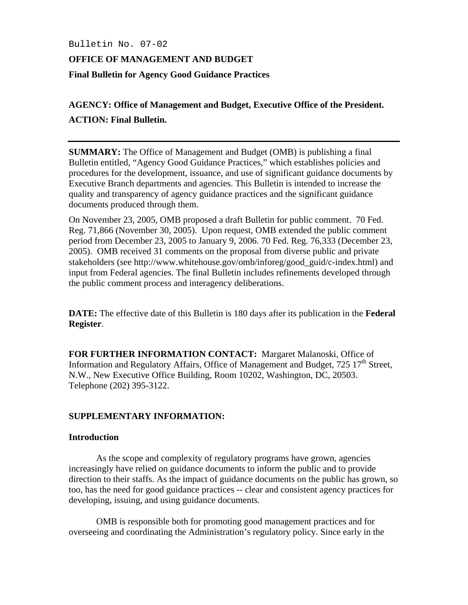## Bulletin No. 07-02

# **OFFICE OF MANAGEMENT AND BUDGET Final Bulletin for Agency Good Guidance Practices**

# **AGENCY: Office of Management and Budget, Executive Office of the President. ACTION: Final Bulletin.**

**SUMMARY:** The Office of Management and Budget (OMB) is publishing a final Bulletin entitled, "Agency Good Guidance Practices," which establishes policies and procedures for the development, issuance, and use of significant guidance documents by Executive Branch departments and agencies. This Bulletin is intended to increase the quality and transparency of agency guidance practices and the significant guidance documents produced through them.

On November 23, 2005, OMB proposed a draft Bulletin for public comment. 70 Fed. Reg. 71,866 (November 30, 2005). Upon request, OMB extended the public comment period from December 23, 2005 to January 9, 2006. 70 Fed. Reg. 76,333 (December 23, 2005). OMB received 31 comments on the proposal from diverse public and private stakeholders (see http://www.whitehouse.gov/omb/inforeg/good\_guid/c-index.html) and input from Federal agencies. The final Bulletin includes refinements developed through the public comment process and interagency deliberations.

**DATE:** The effective date of this Bulletin is 180 days after its publication in the **Federal Register**.

**FOR FURTHER INFORMATION CONTACT:** Margaret Malanoski, Office of Information and Regulatory Affairs, Office of Management and Budget,  $725 \times 17^{th}$  Street, N.W., New Executive Office Building, Room 10202, Washington, DC, 20503. Telephone (202) 395-3122.

# **SUPPLEMENTARY INFORMATION:**

# **Introduction**

 As the scope and complexity of regulatory programs have grown, agencies increasingly have relied on guidance documents to inform the public and to provide direction to their staffs. As the impact of guidance documents on the public has grown, so too, has the need for good guidance practices -- clear and consistent agency practices for developing, issuing, and using guidance documents.

 OMB is responsible both for promoting good management practices and for overseeing and coordinating the Administration's regulatory policy. Since early in the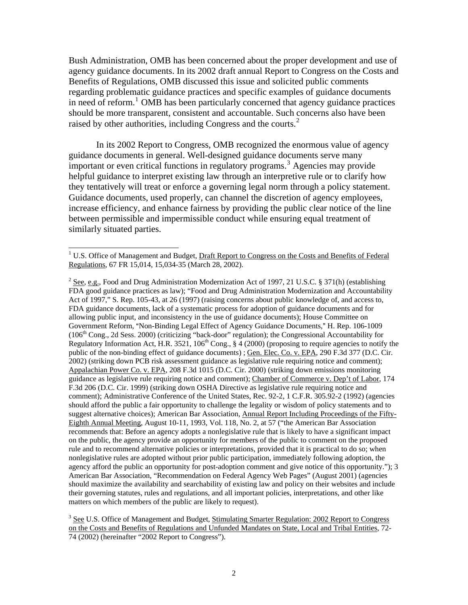Bush Administration, OMB has been concerned about the proper development and use of agency guidance documents. In its 2002 draft annual Report to Congress on the Costs and Benefits of Regulations, OMB discussed this issue and solicited public comments regarding problematic guidance practices and specific examples of guidance documents in need of reform.<sup>[1](#page-2-0)</sup> OMB has been particularly concerned that agency guidance practices should be more transparent, consistent and accountable. Such concerns also have been raised by other authorities, including Congress and the courts.<sup>[2](#page-2-1)</sup>

 In its 2002 Report to Congress, OMB recognized the enormous value of agency guidance documents in general. Well-designed guidance documents serve many important or even critical functions in regulatory programs.[3](#page-2-2) Agencies may provide helpful guidance to interpret existing law through an interpretive rule or to clarify how they tentatively will treat or enforce a governing legal norm through a policy statement. Guidance documents, used properly, can channel the discretion of agency employees, increase efficiency, and enhance fairness by providing the public clear notice of the line between permissible and impermissible conduct while ensuring equal treatment of similarly situated parties.

 $\overline{a}$ 

<span id="page-2-0"></span><sup>&</sup>lt;sup>1</sup> U.S. Office of Management and Budget, Draft Report to Congress on the Costs and Benefits of Federal Regulations, 67 FR 15,014, 15,034-35 (March 28, 2002).

<span id="page-2-1"></span><sup>&</sup>lt;sup>2</sup> See, e.g., Food and Drug Administration Modernization Act of 1997, 21 U.S.C. § 371(h) (establishing FDA good guidance practices as law); "Food and Drug Administration Modernization and Accountability Act of 1997," S. Rep. 105-43, at 26 (1997) (raising concerns about public knowledge of, and access to, FDA guidance documents, lack of a systematic process for adoption of guidance documents and for allowing public input, and inconsistency in the use of guidance documents); House Committee on Government Reform, "Non-Binding Legal Effect of Agency Guidance Documents," H. Rep. 106-1009 (106<sup>th</sup> Cong., 2d Sess. 2000) (criticizing "back-door" regulation); the Congressional Accountability for Regulatory Information Act, H.R. 3521, 106<sup>th</sup> Cong., § 4 (2000) (proposing to require agencies to notify the public of the non-binding effect of guidance documents) ; Gen. Elec. Co. v. EPA, 290 F.3d 377 (D.C. Cir. 2002) (striking down PCB risk assessment guidance as legislative rule requiring notice and comment); Appalachian Power Co. v. EPA, 208 F.3d 1015 (D.C. Cir. 2000) (striking down emissions monitoring guidance as legislative rule requiring notice and comment); Chamber of Commerce v. Dep't of Labor, 174 F.3d 206 (D.C. Cir. 1999) (striking down OSHA Directive as legislative rule requiring notice and comment); Administrative Conference of the United States, Rec. 92-2, 1 C.F.R. 305.92-2 (1992) (agencies should afford the public a fair opportunity to challenge the legality or wisdom of policy statements and to suggest alternative choices); American Bar Association, Annual Report Including Proceedings of the Fifty-Eighth Annual Meeting, August 10-11, 1993, Vol. 118, No. 2, at 57 ("the American Bar Association recommends that: Before an agency adopts a nonlegislative rule that is likely to have a significant impact on the public, the agency provide an opportunity for members of the public to comment on the proposed rule and to recommend alternative policies or interpretations, provided that it is practical to do so; when nonlegislative rules are adopted without prior public participation, immediately following adoption, the agency afford the public an opportunity for post-adoption comment and give notice of this opportunity."); 3 American Bar Association, "Recommendation on Federal Agency Web Pages" (August 2001) (agencies should maximize the availability and searchability of existing law and policy on their websites and include their governing statutes, rules and regulations, and all important policies, interpretations, and other like matters on which members of the public are likely to request).

<span id="page-2-2"></span><sup>&</sup>lt;sup>3</sup> See U.S. Office of Management and Budget, Stimulating Smarter Regulation: 2002 Report to Congress on the Costs and Benefits of Regulations and Unfunded Mandates on State, Local and Tribal Entities, 72- 74 (2002) (hereinafter "2002 Report to Congress").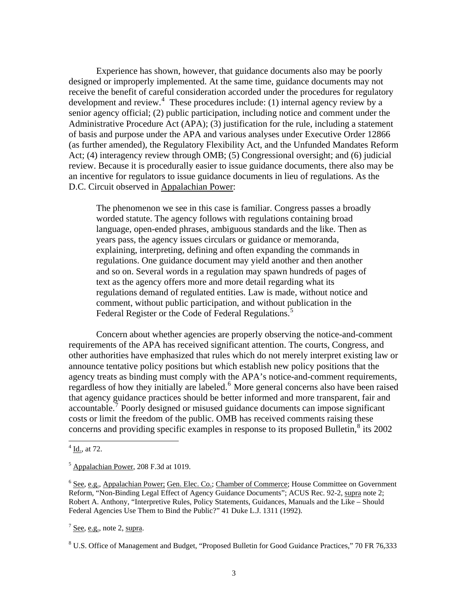Experience has shown, however, that guidance documents also may be poorly designed or improperly implemented. At the same time, guidance documents may not receive the benefit of careful consideration accorded under the procedures for regulatory development and review.<sup>[4](#page-3-0)</sup> These procedures include: (1) internal agency review by a senior agency official; (2) public participation, including notice and comment under the Administrative Procedure Act (APA); (3) justification for the rule, including a statement of basis and purpose under the APA and various analyses under Executive Order 12866 (as further amended), the Regulatory Flexibility Act, and the Unfunded Mandates Reform Act; (4) interagency review through OMB; (5) Congressional oversight; and (6) judicial review. Because it is procedurally easier to issue guidance documents, there also may be an incentive for regulators to issue guidance documents in lieu of regulations. As the D.C. Circuit observed in Appalachian Power:

The phenomenon we see in this case is familiar. Congress passes a broadly worded statute. The agency follows with regulations containing broad language, open-ended phrases, ambiguous standards and the like. Then as years pass, the agency issues circulars or guidance or memoranda, explaining, interpreting, defining and often expanding the commands in regulations. One guidance document may yield another and then another and so on. Several words in a regulation may spawn hundreds of pages of text as the agency offers more and more detail regarding what its regulations demand of regulated entities. Law is made, without notice and comment, without public participation, and without publication in the Federal Register or the Code of Federal Regulations.<sup>[5](#page-3-1)</sup>

 Concern about whether agencies are properly observing the notice-and-comment requirements of the APA has received significant attention. The courts, Congress, and other authorities have emphasized that rules which do not merely interpret existing law or announce tentative policy positions but which establish new policy positions that the agency treats as binding must comply with the APA's notice-and-comment requirements, regardless of how they initially are labeled.<sup>[6](#page-3-2)</sup> More general concerns also have been raised that agency guidance practices should be better informed and more transparent, fair and accountable.<sup>[7](#page-3-3)</sup> Poorly designed or misused guidance documents can impose significant costs or limit the freedom of the public. OMB has received comments raising these concerns and providing specific examples in response to its proposed Bulletin, $\frac{8}{3}$  $\frac{8}{3}$  $\frac{8}{3}$  its 2002

 $\overline{a}$ 

<span id="page-3-3"></span> $<sup>7</sup>$  See, e.g., note 2, supra.</sup>

<span id="page-3-0"></span> $4$  Id., at 72.

<span id="page-3-1"></span> $<sup>5</sup>$  Appalachian Power, 208 F.3d at 1019.</sup>

<span id="page-3-2"></span><sup>&</sup>lt;sup>6</sup> See, e.g., Appalachian Power; Gen. Elec. Co.; Chamber of Commerce; House Committee on Government Reform, "Non-Binding Legal Effect of Agency Guidance Documents"; ACUS Rec. 92-2, supra note 2; Robert A. Anthony, "Interpretive Rules, Policy Statements, Guidances, Manuals and the Like – Should Federal Agencies Use Them to Bind the Public?" 41 Duke L.J. 1311 (1992).

<span id="page-3-4"></span><sup>&</sup>lt;sup>8</sup> U.S. Office of Management and Budget, "Proposed Bulletin for Good Guidance Practices," 70 FR 76,333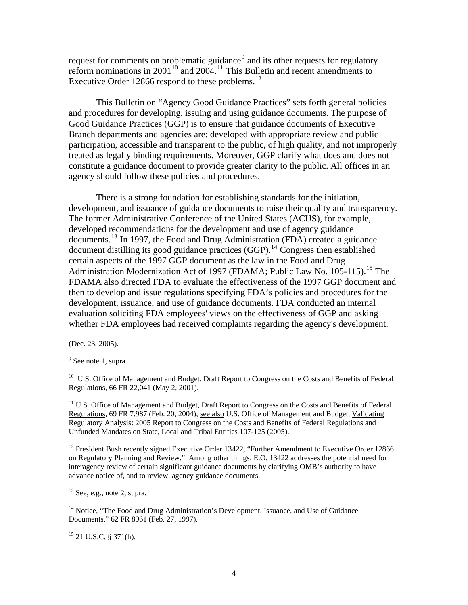request for comments on problematic guidance<sup>[9](#page-4-0)</sup> and its other requests for regulatory reform nominations in  $2001^{10}$  $2001^{10}$  $2001^{10}$  and  $2004$ .<sup>[11](#page-4-2)</sup> This Bulletin and recent amendments to Executive Order [12](#page-4-3)866 respond to these problems.<sup>12</sup>

 This Bulletin on "Agency Good Guidance Practices" sets forth general policies and procedures for developing, issuing and using guidance documents. The purpose of Good Guidance Practices (GGP) is to ensure that guidance documents of Executive Branch departments and agencies are: developed with appropriate review and public participation, accessible and transparent to the public, of high quality, and not improperly treated as legally binding requirements. Moreover, GGP clarify what does and does not constitute a guidance document to provide greater clarity to the public. All offices in an agency should follow these policies and procedures.

 There is a strong foundation for establishing standards for the initiation, development, and issuance of guidance documents to raise their quality and transparency. The former Administrative Conference of the United States (ACUS), for example, developed recommendations for the development and use of agency guidance documents.[13](#page-4-4) In 1997, the Food and Drug Administration (FDA) created a guidance document distilling its good guidance practices (GGP).<sup>[14](#page-4-5)</sup> Congress then established certain aspects of the 1997 GGP document as the law in the Food and Drug Administration Modernization Act of 1997 (FDAMA; Public Law No. 105-1[15](#page-4-6)).<sup>15</sup> The FDAMA also directed FDA to evaluate the effectiveness of the 1997 GGP document and then to develop and issue regulations specifying FDA's policies and procedures for the development, issuance, and use of guidance documents. FDA conducted an internal evaluation soliciting FDA employees' views on the effectiveness of GGP and asking whether FDA employees had received complaints regarding the agency's development,

 $\overline{\phantom{a}}$ 

<span id="page-4-1"></span><sup>10</sup> U.S. Office of Management and Budget, Draft Report to Congress on the Costs and Benefits of Federal Regulations, 66 FR 22,041 (May 2, 2001).

<span id="page-4-2"></span><sup>11</sup> U.S. Office of Management and Budget, Draft Report to Congress on the Costs and Benefits of Federal Regulations, 69 FR 7,987 (Feb. 20, 2004); see also U.S. Office of Management and Budget, Validating Regulatory Analysis: 2005 Report to Congress on the Costs and Benefits of Federal Regulations and Unfunded Mandates on State, Local and Tribal Entities 107-125 (2005).

<span id="page-4-3"></span> $12$  President Bush recently signed Executive Order 13422, "Further Amendment to Executive Order 12866 on Regulatory Planning and Review." Among other things, E.O. 13422 addresses the potential need for interagency review of certain significant guidance documents by clarifying OMB's authority to have advance notice of, and to review, agency guidance documents.

<span id="page-4-4"></span> $13$  See, e.g., note 2, supra.

<span id="page-4-5"></span><sup>14</sup> Notice, "The Food and Drug Administration's Development, Issuance, and Use of Guidance Documents," 62 FR 8961 (Feb. 27, 1997).

<span id="page-4-6"></span> $15$  21 U.S.C. § 371(h).

<sup>(</sup>Dec. 23, 2005).

<span id="page-4-0"></span> $9^9$  See note 1, supra.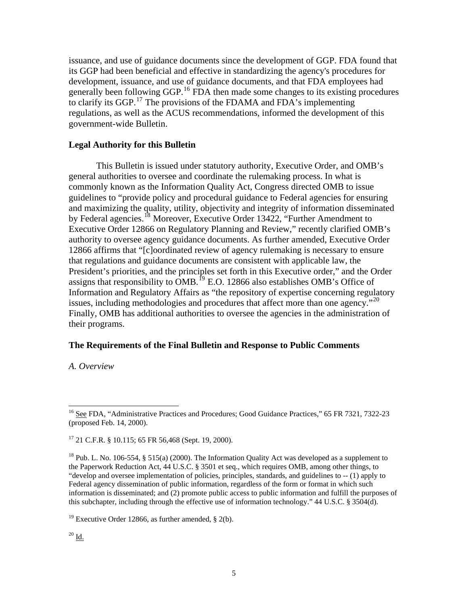issuance, and use of guidance documents since the development of GGP. FDA found that its GGP had been beneficial and effective in standardizing the agency's procedures for development, issuance, and use of guidance documents, and that FDA employees had generally been following GGP.<sup>[16](#page-5-0)</sup> FDA then made some changes to its existing procedures to clarify its GGP.<sup>[17](#page-5-1)</sup> The provisions of the FDAMA and FDA's implementing regulations, as well as the ACUS recommendations, informed the development of this government-wide Bulletin.

## **Legal Authority for this Bulletin**

 This Bulletin is issued under statutory authority, Executive Order, and OMB's general authorities to oversee and coordinate the rulemaking process. In what is commonly known as the Information Quality Act, Congress directed OMB to issue guidelines to "provide policy and procedural guidance to Federal agencies for ensuring and maximizing the quality, utility, objectivity and integrity of information disseminated by Federal agencies.<sup>[18](#page-5-2)</sup> Moreover, Executive Order 13422, "Further Amendment to Executive Order 12866 on Regulatory Planning and Review," recently clarified OMB's authority to oversee agency guidance documents. As further amended, Executive Order 12866 affirms that "[c]oordinated review of agency rulemaking is necessary to ensure that regulations and guidance documents are consistent with applicable law, the President's priorities, and the principles set forth in this Executive order," and the Order assigns that responsibility to  $\overline{OMB}$ .<sup>[19](#page-5-3)</sup> E.O. 12866 also establishes OMB's Office of Information and Regulatory Affairs as "the repository of expertise concerning regulatory issues, including methodologies and procedures that affect more than one agency."<sup>[20](#page-5-4)</sup> Finally, OMB has additional authorities to oversee the agencies in the administration of their programs.

## **The Requirements of the Final Bulletin and Response to Public Comments**

*A. Overview*

<span id="page-5-0"></span><sup>&</sup>lt;sup>16</sup> See FDA, "Administrative Practices and Procedures; Good Guidance Practices," 65 FR 7321, 7322-23 (proposed Feb. 14, 2000).

<span id="page-5-1"></span> $17$  21 C.F.R. § 10.115; 65 FR 56,468 (Sept. 19, 2000).

<span id="page-5-2"></span><sup>&</sup>lt;sup>18</sup> Pub. L. No. 106-554, § 515(a) (2000). The Information Quality Act was developed as a supplement to the Paperwork Reduction Act, 44 U.S.C. § 3501 et seq., which requires OMB, among other things, to "develop and oversee implementation of policies, principles, standards, and guidelines to -- (1) apply to Federal agency dissemination of public information, regardless of the form or format in which such information is disseminated; and (2) promote public access to public information and fulfill the purposes of this subchapter, including through the effective use of information technology." 44 U.S.C. § 3504(d).

<span id="page-5-4"></span><span id="page-5-3"></span><sup>&</sup>lt;sup>19</sup> Executive Order 12866, as further amended,  $\S$  2(b).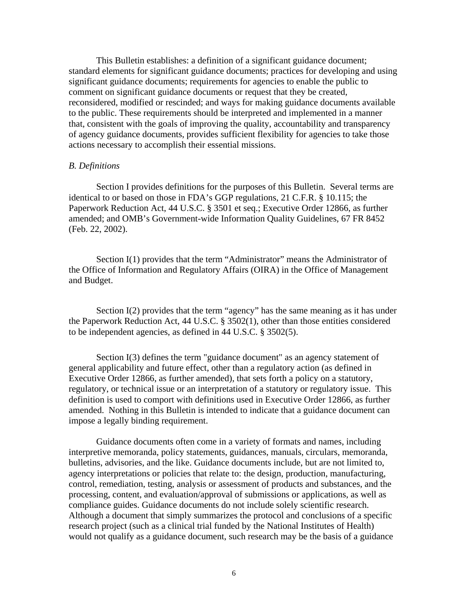This Bulletin establishes: a definition of a significant guidance document; standard elements for significant guidance documents; practices for developing and using significant guidance documents; requirements for agencies to enable the public to comment on significant guidance documents or request that they be created, reconsidered, modified or rescinded; and ways for making guidance documents available to the public. These requirements should be interpreted and implemented in a manner that, consistent with the goals of improving the quality, accountability and transparency of agency guidance documents, provides sufficient flexibility for agencies to take those actions necessary to accomplish their essential missions.

#### *B. Definitions*

 Section I provides definitions for the purposes of this Bulletin. Several terms are identical to or based on those in FDA's GGP regulations, 21 C.F.R. § 10.115; the Paperwork Reduction Act, 44 U.S.C. § 3501 et seq.; Executive Order 12866, as further amended; and OMB's Government-wide Information Quality Guidelines, 67 FR 8452 (Feb. 22, 2002).

 Section I(1) provides that the term "Administrator" means the Administrator of the Office of Information and Regulatory Affairs (OIRA) in the Office of Management and Budget.

 Section I(2) provides that the term "agency" has the same meaning as it has under the Paperwork Reduction Act, 44 U.S.C. § 3502(1), other than those entities considered to be independent agencies, as defined in 44 U.S.C. § 3502(5).

Section I(3) defines the term "guidance document" as an agency statement of general applicability and future effect, other than a regulatory action (as defined in Executive Order 12866, as further amended), that sets forth a policy on a statutory, regulatory, or technical issue or an interpretation of a statutory or regulatory issue. This definition is used to comport with definitions used in Executive Order 12866, as further amended. Nothing in this Bulletin is intended to indicate that a guidance document can impose a legally binding requirement.

Guidance documents often come in a variety of formats and names, including interpretive memoranda, policy statements, guidances, manuals, circulars, memoranda, bulletins, advisories, and the like. Guidance documents include, but are not limited to, agency interpretations or policies that relate to: the design, production, manufacturing, control, remediation, testing, analysis or assessment of products and substances, and the processing, content, and evaluation/approval of submissions or applications, as well as compliance guides. Guidance documents do not include solely scientific research. Although a document that simply summarizes the protocol and conclusions of a specific research project (such as a clinical trial funded by the National Institutes of Health) would not qualify as a guidance document, such research may be the basis of a guidance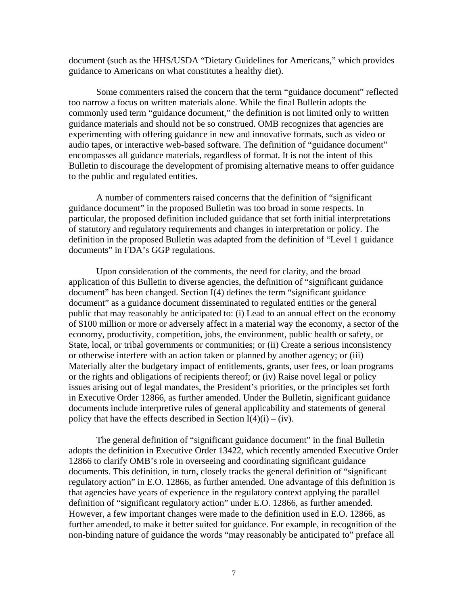document (such as the HHS/USDA "Dietary Guidelines for Americans," which provides guidance to Americans on what constitutes a healthy diet).

Some commenters raised the concern that the term "guidance document" reflected too narrow a focus on written materials alone. While the final Bulletin adopts the commonly used term "guidance document," the definition is not limited only to written guidance materials and should not be so construed. OMB recognizes that agencies are experimenting with offering guidance in new and innovative formats, such as video or audio tapes, or interactive web-based software. The definition of "guidance document" encompasses all guidance materials, regardless of format. It is not the intent of this Bulletin to discourage the development of promising alternative means to offer guidance to the public and regulated entities.

 A number of commenters raised concerns that the definition of "significant guidance document" in the proposed Bulletin was too broad in some respects. In particular, the proposed definition included guidance that set forth initial interpretations of statutory and regulatory requirements and changes in interpretation or policy. The definition in the proposed Bulletin was adapted from the definition of "Level 1 guidance documents" in FDA's GGP regulations.

Upon consideration of the comments, the need for clarity, and the broad application of this Bulletin to diverse agencies, the definition of "significant guidance document" has been changed. Section I(4) defines the term "significant guidance document" as a guidance document disseminated to regulated entities or the general public that may reasonably be anticipated to: (i) Lead to an annual effect on the economy of \$100 million or more or adversely affect in a material way the economy, a sector of the economy, productivity, competition, jobs, the environment, public health or safety, or State, local, or tribal governments or communities; or (ii) Create a serious inconsistency or otherwise interfere with an action taken or planned by another agency; or (iii) Materially alter the budgetary impact of entitlements, grants, user fees, or loan programs or the rights and obligations of recipients thereof; or (iv) Raise novel legal or policy issues arising out of legal mandates, the President's priorities, or the principles set forth in Executive Order 12866, as further amended. Under the Bulletin, significant guidance documents include interpretive rules of general applicability and statements of general policy that have the effects described in Section  $I(4)(i) - (iv)$ .

 The general definition of "significant guidance document" in the final Bulletin adopts the definition in Executive Order 13422, which recently amended Executive Order 12866 to clarify OMB's role in overseeing and coordinating significant guidance documents. This definition, in turn, closely tracks the general definition of "significant regulatory action" in E.O. 12866, as further amended. One advantage of this definition is that agencies have years of experience in the regulatory context applying the parallel definition of "significant regulatory action" under E.O. 12866, as further amended. However, a few important changes were made to the definition used in E.O. 12866, as further amended, to make it better suited for guidance. For example, in recognition of the non-binding nature of guidance the words "may reasonably be anticipated to" preface all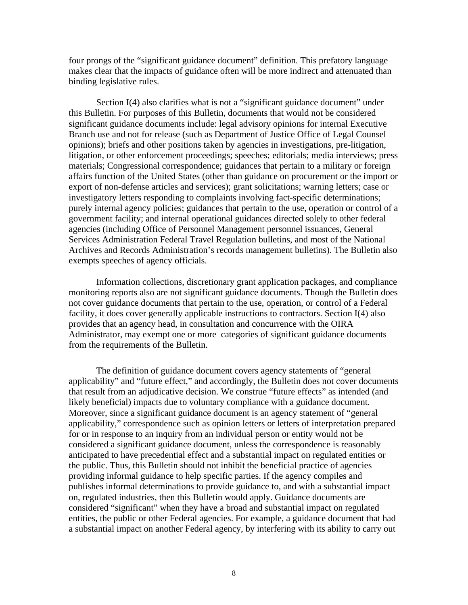four prongs of the "significant guidance document" definition. This prefatory language makes clear that the impacts of guidance often will be more indirect and attenuated than binding legislative rules.

Section I(4) also clarifies what is not a "significant guidance document" under this Bulletin. For purposes of this Bulletin, documents that would not be considered significant guidance documents include: legal advisory opinions for internal Executive Branch use and not for release (such as Department of Justice Office of Legal Counsel opinions); briefs and other positions taken by agencies in investigations, pre-litigation, litigation, or other enforcement proceedings; speeches; editorials; media interviews; press materials; Congressional correspondence; guidances that pertain to a military or foreign affairs function of the United States (other than guidance on procurement or the import or export of non-defense articles and services); grant solicitations; warning letters; case or investigatory letters responding to complaints involving fact-specific determinations; purely internal agency policies; guidances that pertain to the use, operation or control of a government facility; and internal operational guidances directed solely to other federal agencies (including Office of Personnel Management personnel issuances, General Services Administration Federal Travel Regulation bulletins, and most of the National Archives and Records Administration's records management bulletins). The Bulletin also exempts speeches of agency officials.

Information collections, discretionary grant application packages, and compliance monitoring reports also are not significant guidance documents. Though the Bulletin does not cover guidance documents that pertain to the use, operation, or control of a Federal facility, it does cover generally applicable instructions to contractors. Section I(4) also provides that an agency head, in consultation and concurrence with the OIRA Administrator, may exempt one or more categories of significant guidance documents from the requirements of the Bulletin.

 The definition of guidance document covers agency statements of "general applicability" and "future effect," and accordingly, the Bulletin does not cover documents that result from an adjudicative decision. We construe "future effects" as intended (and likely beneficial) impacts due to voluntary compliance with a guidance document. Moreover, since a significant guidance document is an agency statement of "general applicability," correspondence such as opinion letters or letters of interpretation prepared for or in response to an inquiry from an individual person or entity would not be considered a significant guidance document, unless the correspondence is reasonably anticipated to have precedential effect and a substantial impact on regulated entities or the public. Thus, this Bulletin should not inhibit the beneficial practice of agencies providing informal guidance to help specific parties. If the agency compiles and publishes informal determinations to provide guidance to, and with a substantial impact on, regulated industries, then this Bulletin would apply. Guidance documents are considered "significant" when they have a broad and substantial impact on regulated entities, the public or other Federal agencies. For example, a guidance document that had a substantial impact on another Federal agency, by interfering with its ability to carry out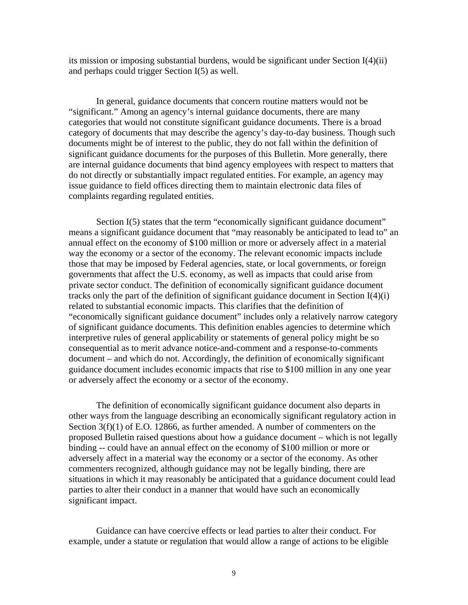its mission or imposing substantial burdens, would be significant under Section I(4)(ii) and perhaps could trigger Section I(5) as well.

 In general, guidance documents that concern routine matters would not be "significant." Among an agency's internal guidance documents, there are many categories that would not constitute significant guidance documents. There is a broad category of documents that may describe the agency's day-to-day business. Though such documents might be of interest to the public, they do not fall within the definition of significant guidance documents for the purposes of this Bulletin. More generally, there are internal guidance documents that bind agency employees with respect to matters that do not directly or substantially impact regulated entities. For example, an agency may issue guidance to field offices directing them to maintain electronic data files of complaints regarding regulated entities.

 Section I(5) states that the term "economically significant guidance document" means a significant guidance document that "may reasonably be anticipated to lead to" an annual effect on the economy of \$100 million or more or adversely affect in a material way the economy or a sector of the economy. The relevant economic impacts include those that may be imposed by Federal agencies, state, or local governments, or foreign governments that affect the U.S. economy, as well as impacts that could arise from private sector conduct. The definition of economically significant guidance document tracks only the part of the definition of significant guidance document in Section I(4)(i) related to substantial economic impacts. This clarifies that the definition of "economically significant guidance document" includes only a relatively narrow category of significant guidance documents. This definition enables agencies to determine which interpretive rules of general applicability or statements of general policy might be so consequential as to merit advance notice-and-comment and a response-to-comments document – and which do not. Accordingly, the definition of economically significant guidance document includes economic impacts that rise to \$100 million in any one year or adversely affect the economy or a sector of the economy.

 The definition of economically significant guidance document also departs in other ways from the language describing an economically significant regulatory action in Section  $3(f)(1)$  of E.O. 12866, as further amended. A number of commenters on the proposed Bulletin raised questions about how a guidance document – which is not legally binding -- could have an annual effect on the economy of \$100 million or more or adversely affect in a material way the economy or a sector of the economy. As other commenters recognized, although guidance may not be legally binding, there are situations in which it may reasonably be anticipated that a guidance document could lead parties to alter their conduct in a manner that would have such an economically significant impact.

 Guidance can have coercive effects or lead parties to alter their conduct. For example, under a statute or regulation that would allow a range of actions to be eligible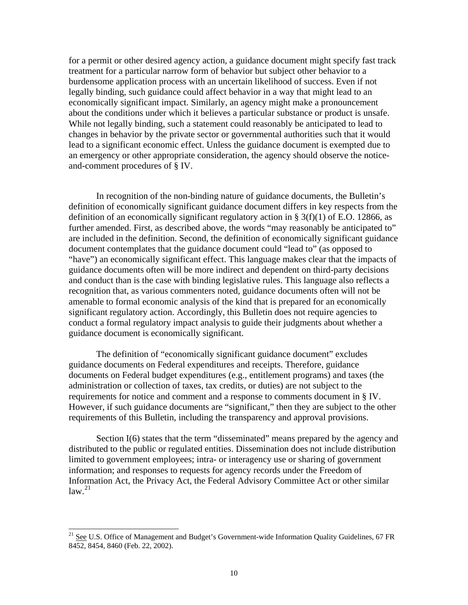for a permit or other desired agency action, a guidance document might specify fast track treatment for a particular narrow form of behavior but subject other behavior to a burdensome application process with an uncertain likelihood of success. Even if not legally binding, such guidance could affect behavior in a way that might lead to an economically significant impact. Similarly, an agency might make a pronouncement about the conditions under which it believes a particular substance or product is unsafe. While not legally binding, such a statement could reasonably be anticipated to lead to changes in behavior by the private sector or governmental authorities such that it would lead to a significant economic effect. Unless the guidance document is exempted due to an emergency or other appropriate consideration, the agency should observe the noticeand-comment procedures of § IV.

 In recognition of the non-binding nature of guidance documents, the Bulletin's definition of economically significant guidance document differs in key respects from the definition of an economically significant regulatory action in  $\S 3(f)(1)$  of E.O. 12866, as further amended. First, as described above, the words "may reasonably be anticipated to" are included in the definition. Second, the definition of economically significant guidance document contemplates that the guidance document could "lead to" (as opposed to "have") an economically significant effect. This language makes clear that the impacts of guidance documents often will be more indirect and dependent on third-party decisions and conduct than is the case with binding legislative rules. This language also reflects a recognition that, as various commenters noted, guidance documents often will not be amenable to formal economic analysis of the kind that is prepared for an economically significant regulatory action. Accordingly, this Bulletin does not require agencies to conduct a formal regulatory impact analysis to guide their judgments about whether a guidance document is economically significant.

The definition of "economically significant guidance document" excludes guidance documents on Federal expenditures and receipts. Therefore, guidance documents on Federal budget expenditures (e.g., entitlement programs) and taxes (the administration or collection of taxes, tax credits, or duties) are not subject to the requirements for notice and comment and a response to comments document in § IV. However, if such guidance documents are "significant," then they are subject to the other requirements of this Bulletin, including the transparency and approval provisions.

Section I(6) states that the term "disseminated" means prepared by the agency and distributed to the public or regulated entities. Dissemination does not include distribution limited to government employees; intra- or interagency use or sharing of government information; and responses to requests for agency records under the Freedom of Information Act, the Privacy Act, the Federal Advisory Committee Act or other similar  $law.<sup>21</sup>$  $law.<sup>21</sup>$  $law.<sup>21</sup>$ 

<span id="page-10-0"></span><sup>&</sup>lt;sup>21</sup> See U.S. Office of Management and Budget's Government-wide Information Quality Guidelines, 67 FR 8452, 8454, 8460 (Feb. 22, 2002).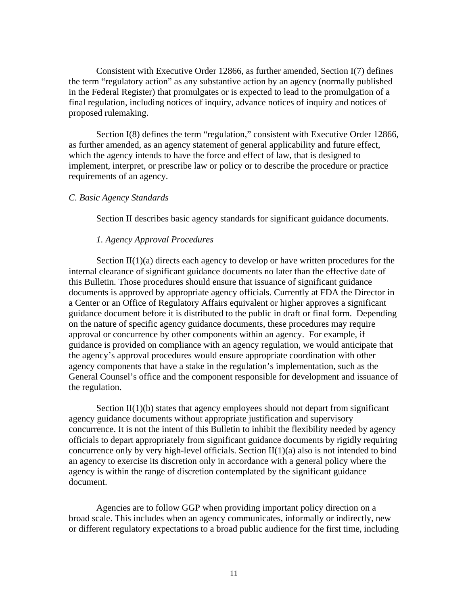Consistent with Executive Order 12866, as further amended, Section I(7) defines the term "regulatory action" as any substantive action by an agency (normally published in the Federal Register) that promulgates or is expected to lead to the promulgation of a final regulation, including notices of inquiry, advance notices of inquiry and notices of proposed rulemaking.

Section I(8) defines the term "regulation," consistent with Executive Order 12866, as further amended, as an agency statement of general applicability and future effect, which the agency intends to have the force and effect of law, that is designed to implement, interpret, or prescribe law or policy or to describe the procedure or practice requirements of an agency.

#### *C. Basic Agency Standards*

Section II describes basic agency standards for significant guidance documents.

#### *1. Agency Approval Procedures*

Section  $II(1)(a)$  directs each agency to develop or have written procedures for the internal clearance of significant guidance documents no later than the effective date of this Bulletin. Those procedures should ensure that issuance of significant guidance documents is approved by appropriate agency officials. Currently at FDA the Director in a Center or an Office of Regulatory Affairs equivalent or higher approves a significant guidance document before it is distributed to the public in draft or final form. Depending on the nature of specific agency guidance documents, these procedures may require approval or concurrence by other components within an agency. For example, if guidance is provided on compliance with an agency regulation, we would anticipate that the agency's approval procedures would ensure appropriate coordination with other agency components that have a stake in the regulation's implementation, such as the General Counsel's office and the component responsible for development and issuance of the regulation.

Section  $II(1)(b)$  states that agency employees should not depart from significant agency guidance documents without appropriate justification and supervisory concurrence. It is not the intent of this Bulletin to inhibit the flexibility needed by agency officials to depart appropriately from significant guidance documents by rigidly requiring concurrence only by very high-level officials. Section II(1)(a) also is not intended to bind an agency to exercise its discretion only in accordance with a general policy where the agency is within the range of discretion contemplated by the significant guidance document.

 Agencies are to follow GGP when providing important policy direction on a broad scale. This includes when an agency communicates, informally or indirectly, new or different regulatory expectations to a broad public audience for the first time, including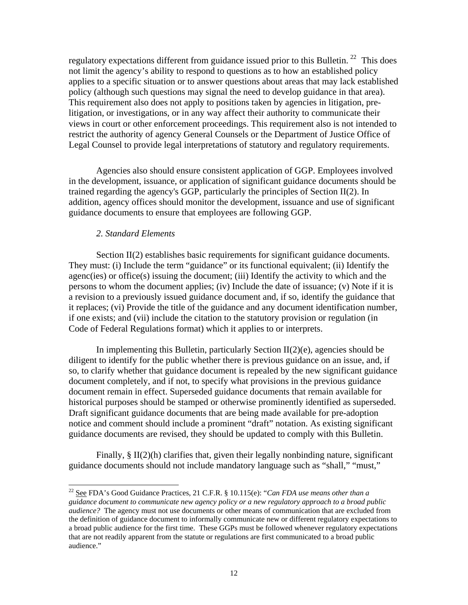regulatory expectations different from guidance issued prior to this Bulletin.<sup>22</sup> This does not limit the agency's ability to respond to questions as to how an established policy applies to a specific situation or to answer questions about areas that may lack established policy (although such questions may signal the need to develop guidance in that area). This requirement also does not apply to positions taken by agencies in litigation, prelitigation, or investigations, or in any way affect their authority to communicate their views in court or other enforcement proceedings. This requirement also is not intended to restrict the authority of agency General Counsels or the Department of Justice Office of Legal Counsel to provide legal interpretations of statutory and regulatory requirements.

 Agencies also should ensure consistent application of GGP. Employees involved in the development, issuance, or application of significant guidance documents should be trained regarding the agency's GGP, particularly the principles of Section II(2). In addition, agency offices should monitor the development, issuance and use of significant guidance documents to ensure that employees are following GGP.

#### *2. Standard Elements*

 $\overline{\phantom{a}}$ 

Section II(2) establishes basic requirements for significant guidance documents. They must: (i) Include the term "guidance" or its functional equivalent; (ii) Identify the agenc(ies) or office(s) issuing the document; (iii) Identify the activity to which and the persons to whom the document applies; (iv) Include the date of issuance; (v) Note if it is a revision to a previously issued guidance document and, if so, identify the guidance that it replaces; (vi) Provide the title of the guidance and any document identification number, if one exists; and (vii) include the citation to the statutory provision or regulation (in Code of Federal Regulations format) which it applies to or interprets.

In implementing this Bulletin, particularly Section  $II(2)(e)$ , agencies should be diligent to identify for the public whether there is previous guidance on an issue, and, if so, to clarify whether that guidance document is repealed by the new significant guidance document completely, and if not, to specify what provisions in the previous guidance document remain in effect. Superseded guidance documents that remain available for historical purposes should be stamped or otherwise prominently identified as superseded. Draft significant guidance documents that are being made available for pre-adoption notice and comment should include a prominent "draft" notation. As existing significant guidance documents are revised, they should be updated to comply with this Bulletin.

Finally,  $\S$  II(2)(h) clarifies that, given their legally nonbinding nature, significant guidance documents should not include mandatory language such as "shall," "must,"

<span id="page-12-0"></span><sup>22</sup> See FDA's Good Guidance Practices, 21 C.F.R. § 10.115(e): "*Can FDA use means other than a guidance document to communicate new agency policy or a new regulatory approach to a broad public audience?* The agency must not use documents or other means of communication that are excluded from the definition of guidance document to informally communicate new or different regulatory expectations to a broad public audience for the first time. These GGPs must be followed whenever regulatory expectations that are not readily apparent from the statute or regulations are first communicated to a broad public audience."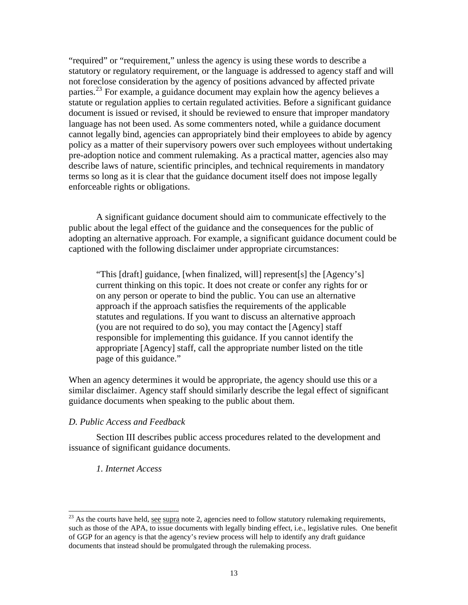"required" or "requirement," unless the agency is using these words to describe a statutory or regulatory requirement, or the language is addressed to agency staff and will not foreclose consideration by the agency of positions advanced by affected private parties.<sup>[23](#page-13-0)</sup> For example, a guidance document may explain how the agency believes a statute or regulation applies to certain regulated activities. Before a significant guidance document is issued or revised, it should be reviewed to ensure that improper mandatory language has not been used. As some commenters noted, while a guidance document cannot legally bind, agencies can appropriately bind their employees to abide by agency policy as a matter of their supervisory powers over such employees without undertaking pre-adoption notice and comment rulemaking. As a practical matter, agencies also may describe laws of nature, scientific principles, and technical requirements in mandatory terms so long as it is clear that the guidance document itself does not impose legally enforceable rights or obligations.

 A significant guidance document should aim to communicate effectively to the public about the legal effect of the guidance and the consequences for the public of adopting an alternative approach. For example, a significant guidance document could be captioned with the following disclaimer under appropriate circumstances:

"This [draft] guidance, [when finalized, will] represent[s] the [Agency's] current thinking on this topic. It does not create or confer any rights for or on any person or operate to bind the public. You can use an alternative approach if the approach satisfies the requirements of the applicable statutes and regulations. If you want to discuss an alternative approach (you are not required to do so), you may contact the [Agency] staff responsible for implementing this guidance. If you cannot identify the appropriate [Agency] staff, call the appropriate number listed on the title page of this guidance."

When an agency determines it would be appropriate, the agency should use this or a similar disclaimer. Agency staff should similarly describe the legal effect of significant guidance documents when speaking to the public about them.

#### *D. Public Access and Feedback*

Section III describes public access procedures related to the development and issuance of significant guidance documents.

#### *1. Internet Access*

<span id="page-13-0"></span> $^{23}$  As the courts have held, see supra note 2, agencies need to follow statutory rulemaking requirements, such as those of the APA, to issue documents with legally binding effect, i.e., legislative rules. One benefit of GGP for an agency is that the agency's review process will help to identify any draft guidance documents that instead should be promulgated through the rulemaking process.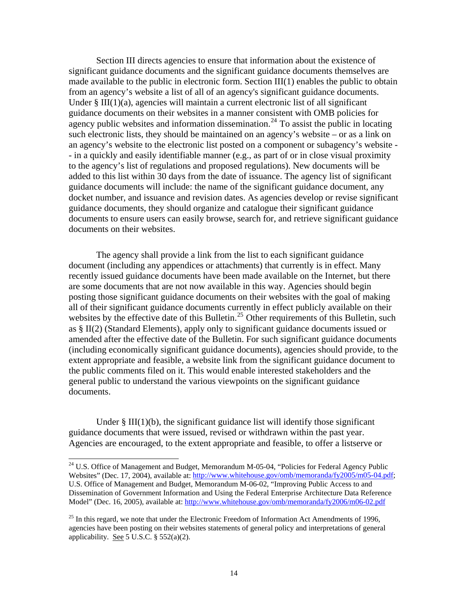Section III directs agencies to ensure that information about the existence of significant guidance documents and the significant guidance documents themselves are made available to the public in electronic form. Section III(1) enables the public to obtain from an agency's website a list of all of an agency's significant guidance documents. Under § III(1)(a), agencies will maintain a current electronic list of all significant guidance documents on their websites in a manner consistent with OMB policies for agency public websites and information dissemination.<sup>[24](#page-14-0)</sup> To assist the public in locating such electronic lists, they should be maintained on an agency's website – or as a link on an agency's website to the electronic list posted on a component or subagency's website - - in a quickly and easily identifiable manner (e.g., as part of or in close visual proximity to the agency's list of regulations and proposed regulations). New documents will be added to this list within 30 days from the date of issuance. The agency list of significant guidance documents will include: the name of the significant guidance document, any docket number, and issuance and revision dates. As agencies develop or revise significant guidance documents, they should organize and catalogue their significant guidance documents to ensure users can easily browse, search for, and retrieve significant guidance documents on their websites.

The agency shall provide a link from the list to each significant guidance document (including any appendices or attachments) that currently is in effect. Many recently issued guidance documents have been made available on the Internet, but there are some documents that are not now available in this way. Agencies should begin posting those significant guidance documents on their websites with the goal of making all of their significant guidance documents currently in effect publicly available on their websites by the effective date of this Bulletin.<sup>[25](#page-14-1)</sup> Other requirements of this Bulletin, such as § II(2) (Standard Elements), apply only to significant guidance documents issued or amended after the effective date of the Bulletin. For such significant guidance documents (including economically significant guidance documents), agencies should provide, to the extent appropriate and feasible, a website link from the significant guidance document to the public comments filed on it. This would enable interested stakeholders and the general public to understand the various viewpoints on the significant guidance documents.

Under  $\S$  III(1)(b), the significant guidance list will identify those significant guidance documents that were issued, revised or withdrawn within the past year. Agencies are encouraged, to the extent appropriate and feasible, to offer a listserve or

<span id="page-14-0"></span><sup>&</sup>lt;sup>24</sup> U.S. Office of Management and Budget, Memorandum M-05-04, "Policies for Federal Agency Public Websites" (Dec. 17, 2004), available at: [http://www.whitehouse.gov/omb/memoranda/fy2005/m05-04.pdf;](http://www.whitehouse.gov/omb/memoranda/fy2005/m05-04.pdf) U.S. Office of Management and Budget, Memorandum M-06-02, "Improving Public Access to and Dissemination of Government Information and Using the Federal Enterprise Architecture Data Reference Model" (Dec. 16, 2005), available at: <http://www.whitehouse.gov/omb/memoranda/fy2006/m06-02.pdf>

<span id="page-14-1"></span> $^{25}$  In this regard, we note that under the Electronic Freedom of Information Act Amendments of 1996, agencies have been posting on their websites statements of general policy and interpretations of general applicability. See 5 U.S.C.  $\S$  552(a)(2).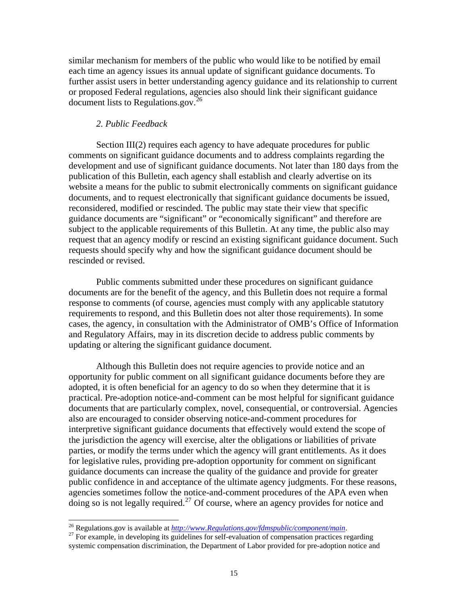similar mechanism for members of the public who would like to be notified by email each time an agency issues its annual update of significant guidance documents. To further assist users in better understanding agency guidance and its relationship to current or proposed Federal regulations, agencies also should link their significant guidance document lists to Regulations.gov.<sup>[26](#page-15-0)</sup>

#### *2. Public Feedback*

Section III(2) requires each agency to have adequate procedures for public comments on significant guidance documents and to address complaints regarding the development and use of significant guidance documents. Not later than 180 days from the publication of this Bulletin, each agency shall establish and clearly advertise on its website a means for the public to submit electronically comments on significant guidance documents, and to request electronically that significant guidance documents be issued, reconsidered, modified or rescinded. The public may state their view that specific guidance documents are "significant" or "economically significant" and therefore are subject to the applicable requirements of this Bulletin. At any time, the public also may request that an agency modify or rescind an existing significant guidance document. Such requests should specify why and how the significant guidance document should be rescinded or revised.

 Public comments submitted under these procedures on significant guidance documents are for the benefit of the agency, and this Bulletin does not require a formal response to comments (of course, agencies must comply with any applicable statutory requirements to respond, and this Bulletin does not alter those requirements). In some cases, the agency, in consultation with the Administrator of OMB's Office of Information and Regulatory Affairs, may in its discretion decide to address public comments by updating or altering the significant guidance document.

 Although this Bulletin does not require agencies to provide notice and an opportunity for public comment on all significant guidance documents before they are adopted, it is often beneficial for an agency to do so when they determine that it is practical. Pre-adoption notice-and-comment can be most helpful for significant guidance documents that are particularly complex, novel, consequential, or controversial. Agencies also are encouraged to consider observing notice-and-comment procedures for interpretive significant guidance documents that effectively would extend the scope of the jurisdiction the agency will exercise, alter the obligations or liabilities of private parties, or modify the terms under which the agency will grant entitlements. As it does for legislative rules, providing pre-adoption opportunity for comment on significant guidance documents can increase the quality of the guidance and provide for greater public confidence in and acceptance of the ultimate agency judgments. For these reasons, agencies sometimes follow the notice-and-comment procedures of the APA even when doing so is not legally required.<sup>[27](#page-15-1)</sup> Of course, where an agency provides for notice and

<span id="page-15-0"></span><sup>&</sup>lt;sup>26</sup> Regulations.gov is available at  $\frac{http://www. Regularions.gov/fdmspublic/component/main.$ 

<span id="page-15-1"></span><sup>&</sup>lt;sup>27</sup> For example, in developing its guidelines for self-evaluation of compensation practices regarding systemic compensation discrimination, the Department of Labor provided for pre-adoption notice and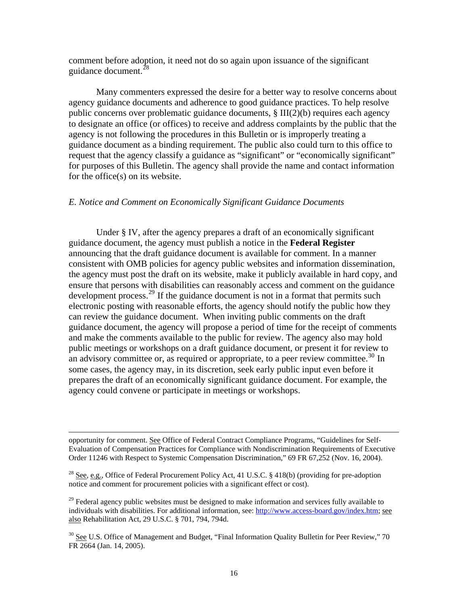comment before adoption, it need not do so again upon issuance of the significant guidance document.<sup>[28](#page-16-0)</sup>

Many commenters expressed the desire for a better way to resolve concerns about agency guidance documents and adherence to good guidance practices. To help resolve public concerns over problematic guidance documents, § III(2)(b) requires each agency to designate an office (or offices) to receive and address complaints by the public that the agency is not following the procedures in this Bulletin or is improperly treating a guidance document as a binding requirement. The public also could turn to this office to request that the agency classify a guidance as "significant" or "economically significant" for purposes of this Bulletin. The agency shall provide the name and contact information for the office(s) on its website.

#### *E. Notice and Comment on Economically Significant Guidance Documents*

Under § IV, after the agency prepares a draft of an economically significant guidance document, the agency must publish a notice in the **Federal Register** announcing that the draft guidance document is available for comment. In a manner consistent with OMB policies for agency public websites and information dissemination, the agency must post the draft on its website, make it publicly available in hard copy, and ensure that persons with disabilities can reasonably access and comment on the guidance development process.<sup>29</sup> If the guidance document is not in a format that permits such electronic posting with reasonable efforts, the agency should notify the public how they can review the guidance document. When inviting public comments on the draft guidance document, the agency will propose a period of time for the receipt of comments and make the comments available to the public for review. The agency also may hold public meetings or workshops on a draft guidance document, or present it for review to an advisory committee or, as required or appropriate, to a peer review committee.<sup>[30](#page-16-2)</sup> In some cases, the agency may, in its discretion, seek early public input even before it prepares the draft of an economically significant guidance document. For example, the agency could convene or participate in meetings or workshops.

opportunity for comment. See Office of Federal Contract Compliance Programs, "Guidelines for Self-Evaluation of Compensation Practices for Compliance with Nondiscrimination Requirements of Executive Order 11246 with Respect to Systemic Compensation Discrimination," 69 FR 67,252 (Nov. 16, 2004).

<span id="page-16-0"></span><sup>&</sup>lt;sup>28</sup> See, e.g., Office of Federal Procurement Policy Act, 41 U.S.C. § 418(b) (providing for pre-adoption notice and comment for procurement policies with a significant effect or cost).

<span id="page-16-1"></span> $^{29}$  Federal agency public websites must be designed to make information and services fully available to individuals with disabilities. For additional information, see: [http://www.access-board.gov/index.htm;](http://www.access-board.gov/index.htm) see also Rehabilitation Act, 29 U.S.C. § 701, 794, 794d.

<span id="page-16-2"></span><sup>&</sup>lt;sup>30</sup> See U.S. Office of Management and Budget, "Final Information Quality Bulletin for Peer Review," 70 FR 2664 (Jan. 14, 2005).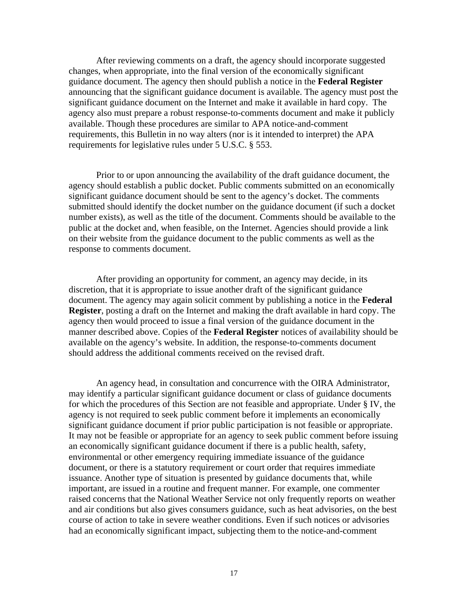After reviewing comments on a draft, the agency should incorporate suggested changes, when appropriate, into the final version of the economically significant guidance document. The agency then should publish a notice in the **Federal Register** announcing that the significant guidance document is available. The agency must post the significant guidance document on the Internet and make it available in hard copy. The agency also must prepare a robust response-to-comments document and make it publicly available. Though these procedures are similar to APA notice-and-comment requirements, this Bulletin in no way alters (nor is it intended to interpret) the APA requirements for legislative rules under 5 U.S.C. § 553.

 Prior to or upon announcing the availability of the draft guidance document, the agency should establish a public docket. Public comments submitted on an economically significant guidance document should be sent to the agency's docket. The comments submitted should identify the docket number on the guidance document (if such a docket number exists), as well as the title of the document. Comments should be available to the public at the docket and, when feasible, on the Internet. Agencies should provide a link on their website from the guidance document to the public comments as well as the response to comments document.

 After providing an opportunity for comment, an agency may decide, in its discretion, that it is appropriate to issue another draft of the significant guidance document. The agency may again solicit comment by publishing a notice in the **Federal Register**, posting a draft on the Internet and making the draft available in hard copy. The agency then would proceed to issue a final version of the guidance document in the manner described above. Copies of the **Federal Register** notices of availability should be available on the agency's website. In addition, the response-to-comments document should address the additional comments received on the revised draft.

 An agency head, in consultation and concurrence with the OIRA Administrator, may identify a particular significant guidance document or class of guidance documents for which the procedures of this Section are not feasible and appropriate. Under § IV, the agency is not required to seek public comment before it implements an economically significant guidance document if prior public participation is not feasible or appropriate. It may not be feasible or appropriate for an agency to seek public comment before issuing an economically significant guidance document if there is a public health, safety, environmental or other emergency requiring immediate issuance of the guidance document, or there is a statutory requirement or court order that requires immediate issuance. Another type of situation is presented by guidance documents that, while important, are issued in a routine and frequent manner. For example, one commenter raised concerns that the National Weather Service not only frequently reports on weather and air conditions but also gives consumers guidance, such as heat advisories, on the best course of action to take in severe weather conditions. Even if such notices or advisories had an economically significant impact, subjecting them to the notice-and-comment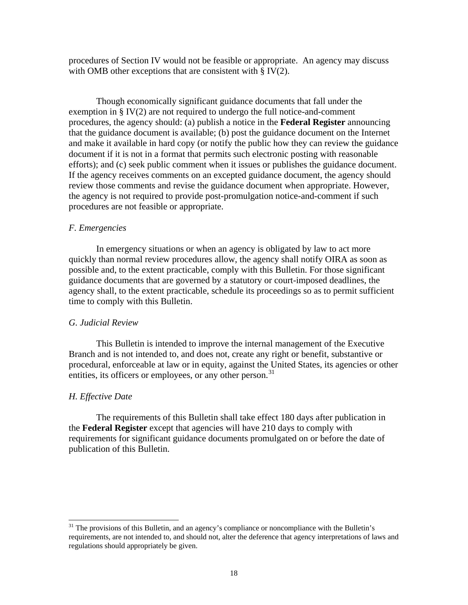procedures of Section IV would not be feasible or appropriate. An agency may discuss with OMB other exceptions that are consistent with  $\S$  IV(2).

 Though economically significant guidance documents that fall under the exemption in § IV(2) are not required to undergo the full notice-and-comment procedures, the agency should: (a) publish a notice in the **Federal Register** announcing that the guidance document is available; (b) post the guidance document on the Internet and make it available in hard copy (or notify the public how they can review the guidance document if it is not in a format that permits such electronic posting with reasonable efforts); and (c) seek public comment when it issues or publishes the guidance document. If the agency receives comments on an excepted guidance document, the agency should review those comments and revise the guidance document when appropriate. However, the agency is not required to provide post-promulgation notice-and-comment if such procedures are not feasible or appropriate.

#### *F. Emergencies*

 In emergency situations or when an agency is obligated by law to act more quickly than normal review procedures allow, the agency shall notify OIRA as soon as possible and, to the extent practicable, comply with this Bulletin. For those significant guidance documents that are governed by a statutory or court-imposed deadlines, the agency shall, to the extent practicable, schedule its proceedings so as to permit sufficient time to comply with this Bulletin.

#### *G. Judicial Review*

 This Bulletin is intended to improve the internal management of the Executive Branch and is not intended to, and does not, create any right or benefit, substantive or procedural, enforceable at law or in equity, against the United States, its agencies or other entities, its officers or employees, or any other person.<sup>[31](#page-18-0)</sup>

#### *H. Effective Date*

l

 The requirements of this Bulletin shall take effect 180 days after publication in the **Federal Register** except that agencies will have 210 days to comply with requirements for significant guidance documents promulgated on or before the date of publication of this Bulletin.

<span id="page-18-0"></span> $31$  The provisions of this Bulletin, and an agency's compliance or noncompliance with the Bulletin's requirements, are not intended to, and should not, alter the deference that agency interpretations of laws and regulations should appropriately be given.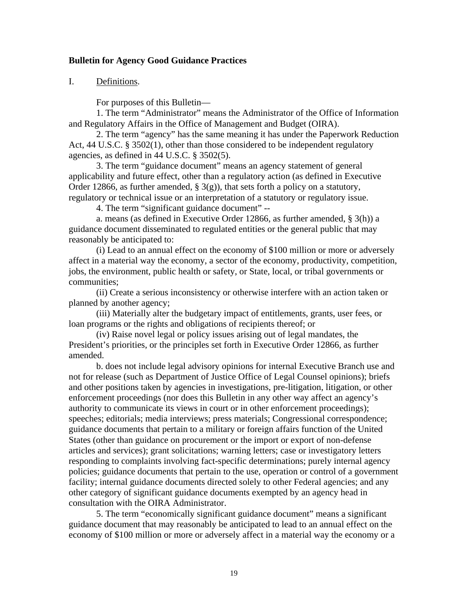## **Bulletin for Agency Good Guidance Practices**

## I. Definitions.

For purposes of this Bulletin—

1. The term "Administrator" means the Administrator of the Office of Information and Regulatory Affairs in the Office of Management and Budget (OIRA).

2. The term "agency" has the same meaning it has under the Paperwork Reduction Act, 44 U.S.C. § 3502(1), other than those considered to be independent regulatory agencies, as defined in 44 U.S.C. § 3502(5).

3. The term "guidance document" means an agency statement of general applicability and future effect, other than a regulatory action (as defined in Executive Order 12866, as further amended,  $\S(9)$ , that sets forth a policy on a statutory, regulatory or technical issue or an interpretation of a statutory or regulatory issue.

4. The term "significant guidance document" --

a. means (as defined in Executive Order 12866, as further amended, § 3(h)) a guidance document disseminated to regulated entities or the general public that may reasonably be anticipated to:

(i) Lead to an annual effect on the economy of \$100 million or more or adversely affect in a material way the economy, a sector of the economy, productivity, competition, jobs, the environment, public health or safety, or State, local, or tribal governments or communities;

(ii) Create a serious inconsistency or otherwise interfere with an action taken or planned by another agency;

(iii) Materially alter the budgetary impact of entitlements, grants, user fees, or loan programs or the rights and obligations of recipients thereof; or

(iv) Raise novel legal or policy issues arising out of legal mandates, the President's priorities, or the principles set forth in Executive Order 12866, as further amended.

b. does not include legal advisory opinions for internal Executive Branch use and not for release (such as Department of Justice Office of Legal Counsel opinions); briefs and other positions taken by agencies in investigations, pre-litigation, litigation, or other enforcement proceedings (nor does this Bulletin in any other way affect an agency's authority to communicate its views in court or in other enforcement proceedings); speeches; editorials; media interviews; press materials; Congressional correspondence; guidance documents that pertain to a military or foreign affairs function of the United States (other than guidance on procurement or the import or export of non-defense articles and services); grant solicitations; warning letters; case or investigatory letters responding to complaints involving fact-specific determinations; purely internal agency policies; guidance documents that pertain to the use, operation or control of a government facility; internal guidance documents directed solely to other Federal agencies; and any other category of significant guidance documents exempted by an agency head in consultation with the OIRA Administrator.

 5. The term "economically significant guidance document" means a significant guidance document that may reasonably be anticipated to lead to an annual effect on the economy of \$100 million or more or adversely affect in a material way the economy or a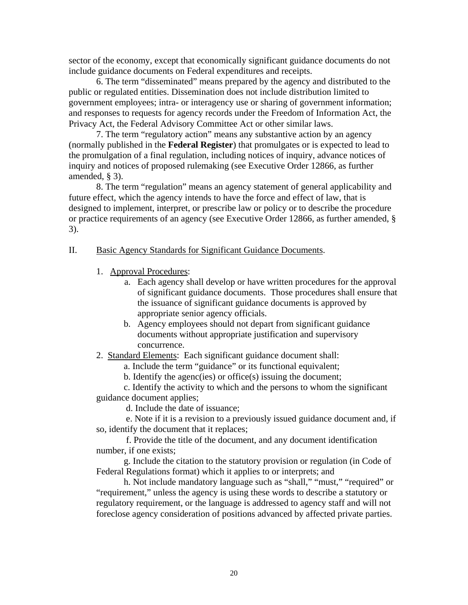sector of the economy, except that economically significant guidance documents do not include guidance documents on Federal expenditures and receipts.

6. The term "disseminated" means prepared by the agency and distributed to the public or regulated entities. Dissemination does not include distribution limited to government employees; intra- or interagency use or sharing of government information; and responses to requests for agency records under the Freedom of Information Act, the Privacy Act, the Federal Advisory Committee Act or other similar laws.

7. The term "regulatory action" means any substantive action by an agency (normally published in the **Federal Register**) that promulgates or is expected to lead to the promulgation of a final regulation, including notices of inquiry, advance notices of inquiry and notices of proposed rulemaking (see Executive Order 12866, as further amended, § 3).

8. The term "regulation" means an agency statement of general applicability and future effect, which the agency intends to have the force and effect of law, that is designed to implement, interpret, or prescribe law or policy or to describe the procedure or practice requirements of an agency (see Executive Order 12866, as further amended, § 3).

#### II. Basic Agency Standards for Significant Guidance Documents.

- 1. Approval Procedures:
	- a. Each agency shall develop or have written procedures for the approval of significant guidance documents. Those procedures shall ensure that the issuance of significant guidance documents is approved by appropriate senior agency officials.
	- b. Agency employees should not depart from significant guidance documents without appropriate justification and supervisory concurrence.
- 2. Standard Elements: Each significant guidance document shall:
	- a. Include the term "guidance" or its functional equivalent;
	- b. Identify the agenc(ies) or office(s) issuing the document;

c. Identify the activity to which and the persons to whom the significant guidance document applies;

d. Include the date of issuance;

 e. Note if it is a revision to a previously issued guidance document and, if so, identify the document that it replaces;

 f. Provide the title of the document, and any document identification number, if one exists;

g. Include the citation to the statutory provision or regulation (in Code of Federal Regulations format) which it applies to or interprets; and

h. Not include mandatory language such as "shall," "must," "required" or "requirement," unless the agency is using these words to describe a statutory or regulatory requirement, or the language is addressed to agency staff and will not foreclose agency consideration of positions advanced by affected private parties.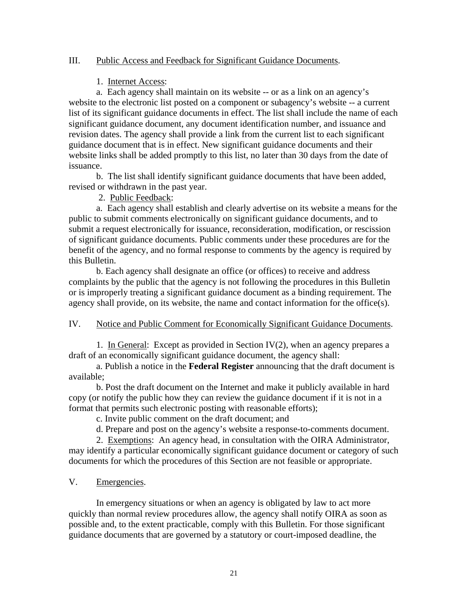## III. Public Access and Feedback for Significant Guidance Documents.

## 1. Internet Access:

a. Each agency shall maintain on its website -- or as a link on an agency's website to the electronic list posted on a component or subagency's website -- a current list of its significant guidance documents in effect. The list shall include the name of each significant guidance document, any document identification number, and issuance and revision dates. The agency shall provide a link from the current list to each significant guidance document that is in effect. New significant guidance documents and their website links shall be added promptly to this list, no later than 30 days from the date of issuance.

b. The list shall identify significant guidance documents that have been added, revised or withdrawn in the past year.

2. Public Feedback:

a. Each agency shall establish and clearly advertise on its website a means for the public to submit comments electronically on significant guidance documents, and to submit a request electronically for issuance, reconsideration, modification, or rescission of significant guidance documents. Public comments under these procedures are for the benefit of the agency, and no formal response to comments by the agency is required by this Bulletin.

b. Each agency shall designate an office (or offices) to receive and address complaints by the public that the agency is not following the procedures in this Bulletin or is improperly treating a significant guidance document as a binding requirement. The agency shall provide, on its website, the name and contact information for the office(s).

## IV. Notice and Public Comment for Economically Significant Guidance Documents.

1. In General: Except as provided in Section IV(2), when an agency prepares a draft of an economically significant guidance document, the agency shall:

a. Publish a notice in the **Federal Register** announcing that the draft document is available;

b. Post the draft document on the Internet and make it publicly available in hard copy (or notify the public how they can review the guidance document if it is not in a format that permits such electronic posting with reasonable efforts);

c. Invite public comment on the draft document; and

d. Prepare and post on the agency's website a response-to-comments document.

2. Exemptions: An agency head, in consultation with the OIRA Administrator, may identify a particular economically significant guidance document or category of such documents for which the procedures of this Section are not feasible or appropriate.

## V. Emergencies.

 In emergency situations or when an agency is obligated by law to act more quickly than normal review procedures allow, the agency shall notify OIRA as soon as possible and, to the extent practicable, comply with this Bulletin. For those significant guidance documents that are governed by a statutory or court-imposed deadline, the